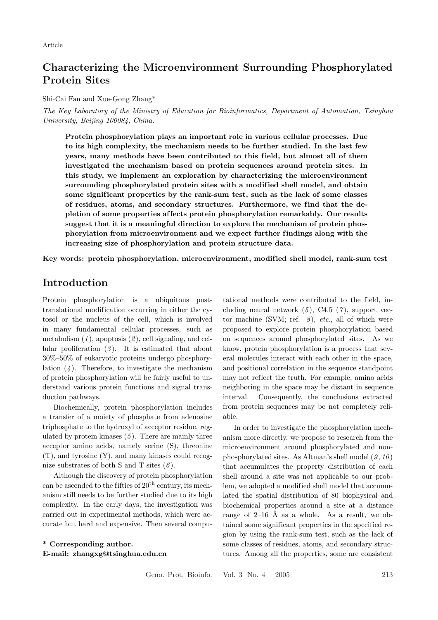# Characterizing the Microenvironment Surrounding Phosphorylated Protein Sites

#### Shi-Cai Fan and Xue-Gong Zhang\*

The Key Laboratory of the Ministry of Education for Bioinformatics, Department of Automation, Tsinghua University, Beijing 100084, China.

Protein phosphorylation plays an important role in various cellular processes. Due to its high complexity, the mechanism needs to be further studied. In the last few years, many methods have been contributed to this field, but almost all of them investigated the mechanism based on protein sequences around protein sites. In this study, we implement an exploration by characterizing the microenvironment surrounding phosphorylated protein sites with a modif ied shell model, and obtain some significant properties by the rank-sum test, such as the lack of some classes of residues, atoms, and secondary structures. Furthermore, we find that the depletion of some properties af fects protein phosphorylation remarkably. Our results suggest that it is a meaningful direction to explore the mechanism of protein phosphorylation from microenvironment and we expect further f indings along with the increasing size of phosphorylation and protein structure data.

Key words: protein phosphorylation, microenvironment, modified shell model, rank-sum test

## Introduction

Protein phosphorylation is a ubiquitous posttranslational modification occurring in either the cytosol or the nucleus of the cell, which is involved in many fundamental cellular processes, such as metabolism  $(1)$ , apoptosis  $(2)$ , cell signaling, and cellular proliferation  $(3)$ . It is estimated that about 30%–50% of eukaryotic proteins undergo phosphorylation  $(4)$ . Therefore, to investigate the mechanism of protein phosphorylation will be fairly useful to understand various protein functions and signal transduction pathways.

Biochemically, protein phosphorylation includes a transfer of a moiety of phosphate from adenosine triphosphate to the hydroxyl of acceptor residue, regulated by protein kinases  $(5)$ . There are mainly three acceptor amino acids, namely serine (S), threonine (T), and tyrosine (Y), and many kinases could recognize substrates of both S and T sites  $(6)$ .

Although the discovery of protein phosphorylation can be ascended to the fifties of  $20<sup>th</sup>$  century, its mechanism still needs to be further studied due to its high complexity. In the early days, the investigation was carried out in experimental methods, which were accurate but hard and expensive. Then several compu-

\* Corresponding author. E-mail: zhangxg@tsinghua.edu.cn tational methods were contributed to the field, including neural network  $(5)$ , C4.5  $(7)$ , support vector machine (SVM; ref.  $\delta$ ), *etc.*, all of which were proposed to explore protein phosphorylation based on sequences around phosphorylated sites. As we know, protein phosphorylation is a process that several molecules interact with each other in the space, and positional correlation in the sequence standpoint may not reflect the truth. For example, amino acids neighboring in the space may be distant in sequence interval. Consequently, the conclusions extracted from protein sequences may be not completely reliable.

In order to investigate the phosphorylation mechanism more directly, we propose to research from the microenvironment around phosphorylated and nonphosphorylated sites. As Altman's shell model  $(9, 10)$ that accumulates the property distribution of each shell around a site was not applicable to our problem, we adopted a modified shell model that accumulated the spatial distribution of 80 biophysical and biochemical properties around a site at a distance range of  $2-16$  Å as a whole. As a result, we obtained some significant properties in the specified region by using the rank-sum test, such as the lack of some classes of residues, atoms, and secondary structures. Among all the properties, some are consistent

Geno. Prot. Bioinfo. Vol. 3 No. 4 2005 213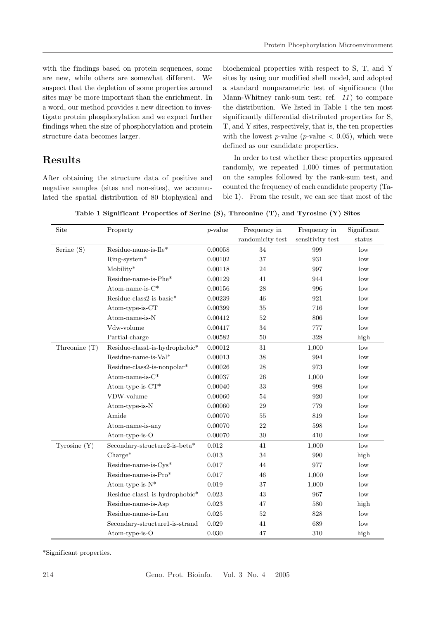with the findings based on protein sequences, some are new, while others are somewhat different. We suspect that the depletion of some properties around sites may be more important than the enrichment. In a word, our method provides a new direction to investigate protein phosphorylation and we expect further findings when the size of phosphorylation and protein structure data becomes larger.

# Results

After obtaining the structure data of positive and negative samples (sites and non-sites), we accumulated the spatial distribution of 80 biophysical and

biochemical properties with respect to S, T, and Y sites by using our modified shell model, and adopted a standard nonparametric test of significance (the Mann-Whitney rank-sum test; ref.  $11)$  to compare the distribution. We listed in Table 1 the ten most significantly differential distributed properties for S, T, and Y sites, respectively, that is, the ten properties with the lowest p-value (p-value  $(0.05)$ , which were defined as our candidate properties.

In order to test whether these properties appeared randomly, we repeated 1,000 times of permutation on the samples followed by the rank-sum test, and counted the frequency of each candidate property (Table 1). From the result, we can see that most of the

Table 1 Significant Properties of Serine (S), Threonine (T), and Tyrosine (Y) Sites

| Site           | Property                       | $p$ -value | Frequency in     | Frequency in     | Significant |
|----------------|--------------------------------|------------|------------------|------------------|-------------|
|                |                                |            | randomicity test | sensitivity test | status      |
| Serine (S)     | $Residue-name-is-Ile*$         | 0.00058    | 34               | 999              | low         |
|                | $Ring-system*$                 | 0.00102    | 37               | 931              | low         |
|                | Mobility*                      | 0.00118    | 24               | 997              | low         |
|                | Residue-name-is-Phe*           | 0.00129    | 41               | 944              | low         |
|                | Atom-name-is-C*                | 0.00156    | 28               | 996              | low         |
|                | $Residue-class 2-is-basic*$    | 0.00239    | 46               | 921              | low         |
|                | Atomic 1                       | 0.00399    | 35               | 716              | low         |
|                | Atom-name-is-N                 | 0.00412    | 52               | 806              | low         |
|                | Vdw-volume                     | 0.00417    | 34               | 777              | low         |
|                | Partial-charge                 | 0.00582    | $50\,$           | 328              | high        |
| Threonine (T)  | Residue-class1-is-hydrophobic* | 0.00012    | 31               | 1,000            | low         |
|                | Residue-name-is-Val*           | 0.00013    | 38               | 994              | low         |
|                | Residue-class2-is-nonpolar*    | 0.00026    | 28               | 973              | low         |
|                | Atom-name-is-C*                | 0.00037    | 26               | 1,000            | low         |
|                | Atom-type-is-CT*               | 0.00040    | 33               | 998              | low         |
|                | VDW-volume                     | 0.00060    | 54               | 920              | low         |
|                | Atom-type-is-N                 | 0.00060    | 29               | 779              | low         |
|                | Amide                          | 0.00070    | 55               | 819              | low         |
|                | Atom-name-is-any               | 0.00070    | 22               | 598              | low         |
|                | Atom-type-is-O                 | 0.00070    | 30               | 410              | low         |
| Tyrosine $(Y)$ | Secondary-structure2-is-beta*  | 0.012      | 41               | 1,000            | low         |
|                | $Change*$                      | 0.013      | 34               | 990              | high        |
|                | Residue-name-is-Cys*           | 0.017      | 44               | 977              | low         |
|                | Residue-name-is-Pro*           | 0.017      | 46               | 1,000            | low         |
|                | Atom-type-is-N*                | 0.019      | 37               | 1,000            | low         |
|                | Residue-class1-is-hydrophobic* | 0.023      | 43               | 967              | low         |
|                | Residue-name-is-Asp            | 0.023      | 47               | 580              | high        |
|                | Residue-name-is-Leu            | 0.025      | 52               | 828              | low         |
|                | Secondary-structure1-is-strand | 0.029      | 41               | 689              | low         |
|                | Atom-type-is-O                 | 0.030      | 47               | 310              | high        |

\*Significant properties.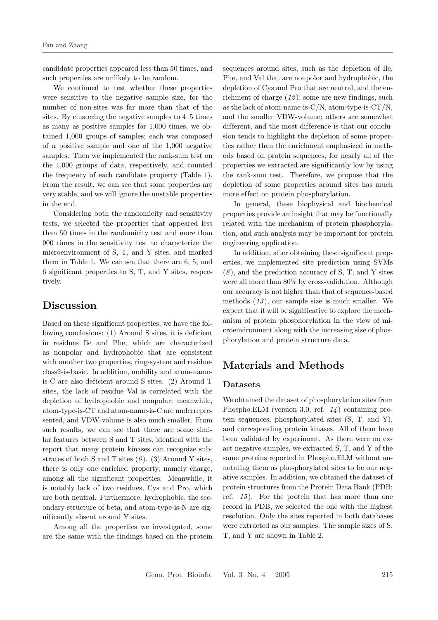candidate properties appeared less than 50 times, and such properties are unlikely to be random.

We continued to test whether these properties were sensitive to the negative sample size, for the number of non-sites was far more than that of the sites. By clustering the negative samples to 4–5 times as many as positive samples for 1,000 times, we obtained 1,000 groups of samples; each was composed of a positive sample and one of the 1,000 negative samples. Then we implemented the rank-sum test on the 1,000 groups of data, respectively, and counted the frequency of each candidate property (Table 1). From the result, we can see that some properties are very stable, and we will ignore the unstable properties in the end.

Considering both the randomicity and sensitivity tests, we selected the properties that appeared less than 50 times in the randomicity test and more than 900 times in the sensitivity test to characterize the microenvironment of S, T, and Y sites, and marked them in Table 1. We can see that there are 6, 5, and 6 significant properties to S, T, and Y sites, respectively.

## Discussion

Based on these significant properties, we have the following conclusions: (1) Around S sites, it is deficient in residues Ile and Phe, which are characterized as nonpolar and hydrophobic that are consistent with another two properties, ring-system and residueclass2-is-basic. In addition, mobility and atom-nameis-C are also deficient around S sites. (2) Around T sites, the lack of residue Val is correlated with the depletion of hydrophobic and nonpolar; meanwhile, atom-type-is-CT and atom-name-is-C are underrepresented, and VDW-volume is also much smaller. From such results, we can see that there are some similar features between S and T sites, identical with the report that many protein kinases can recognize substrates of both S and T sites  $(6)$ . (3) Around Y sites, there is only one enriched property, namely charge, among all the significant properties. Meanwhile, it is notably lack of two residues, Cys and Pro, which are both neutral. Furthermore, hydrophobic, the secondary structure of beta, and atom-type-is-N are significantly absent around Y sites.

Among all the properties we investigated, some are the same with the findings based on the protein sequences around sites, such as the depletion of Ile, Phe, and Val that are nonpolor and hydrophobic, the depletion of Cys and Pro that are neutral, and the enrichment of charge  $(12)$ ; some are new findings, such as the lack of atom-name-is- $C/N$ , atom-type-is- $CT/N$ , and the smaller VDW-volume; others are somewhat different, and the most difference is that our conclusion tends to highlight the depletion of some properties rather than the enrichment emphasized in methods based on protein sequences, for nearly all of the properties we extracted are significantly low by using the rank-sum test. Therefore, we propose that the depletion of some properties around sites has much more effect on protein phosphorylation.

In general, these biophysical and biochemical properties provide an insight that may be functionally related with the mechanism of protein phosphorylation, and such analysis may be important for protein engineering application.

In addition, after obtaining these significant properties, we implemented site prediction using SVMs  $(8)$ , and the prediction accuracy of S, T, and Y sites were all more than 80% by cross-validation. Although our accuracy is not higher than that of sequence-based methods  $(13)$ , our sample size is much smaller. We expect that it will be significative to explore the mechanism of protein phosphorylation in the view of microenvironment along with the increasing size of phosphorylation and protein structure data.

# Materials and Methods

#### Datasets

We obtained the dataset of phosphorylation sites from Phospho.ELM (version 3.0; ref.  $1/4$ ) containing protein sequences, phosphorylated sites (S, T, and Y), and corresponding protein kinases. All of them have been validated by experiment. As there were no exact negative samples, we extracted S, T, and Y of the same proteins reported in Phospho.ELM without annotating them as phosphorylated sites to be our negative samples. In addition, we obtained the dataset of protein structures from the Protein Data Bank (PDB; ref. 15). For the protein that has more than one record in PDB, we selected the one with the highest resolution. Only the sites reported in both databases were extracted as our samples. The sample sizes of S, T, and Y are shown in Table 2.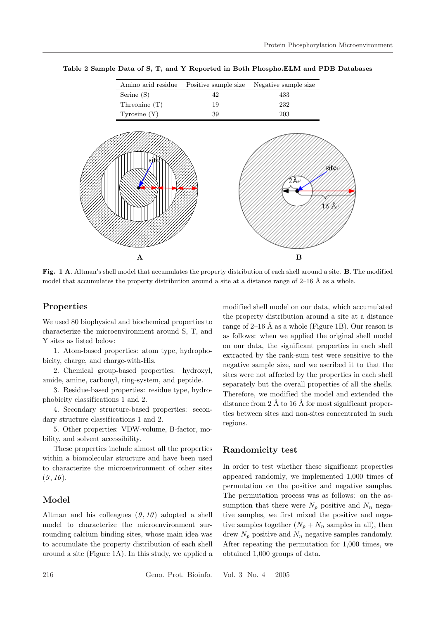

Table 2 Sample Data of S, T, and Y Reported in Both Phospho.ELM and PDB Databases

Fig. 1 A. Altman's shell model that accumulates the property distribution of each shell around a site. B. The modified model that accumulates the property distribution around a site at a distance range of  $2-16$  Å as a whole.

### Properties

We used 80 biophysical and biochemical properties to characterize the microenvironment around S, T, and Y sites as listed below:

1. Atom-based properties: atom type, hydrophobicity, charge, and charge-with-His.

2. Chemical group-based properties: hydroxyl, amide, amine, carbonyl, ring-system, and peptide.

3. Residue-based properties: residue type, hydrophobicity classifications 1 and 2.

4. Secondary structure-based properties: secondary structure classifications 1 and 2.

5. Other properties: VDW-volume, B-factor, mobility, and solvent accessibility.

These properties include almost all the properties within a biomolecular structure and have been used to characterize the microenvironment of other sites  $(9, 16).$ 

### Model

Altman and his colleagues  $(9, 10)$  adopted a shell model to characterize the microenvironment surrounding calcium binding sites, whose main idea was to accumulate the property distribution of each shell around a site (Figure 1A). In this study, we applied a

modified shell model on our data, which accumulated the property distribution around a site at a distance range of  $2-16$  Å as a whole (Figure 1B). Our reason is as follows: when we applied the original shell model on our data, the significant properties in each shell extracted by the rank-sum test were sensitive to the negative sample size, and we ascribed it to that the sites were not affected by the properties in each shell separately but the overall properties of all the shells. Therefore, we modified the model and extended the distance from  $2 \text{ Å}$  to  $16 \text{ Å}$  for most significant properties between sites and non-sites concentrated in such regions.

### Randomicity test

In order to test whether these significant properties appeared randomly, we implemented 1,000 times of permutation on the positive and negative samples. The permutation process was as follows: on the assumption that there were  $N_p$  positive and  $N_n$  negative samples, we first mixed the positive and negative samples together  $(N_p + N_n$  samples in all), then drew  $N_p$  positive and  $N_n$  negative samples randomly. After repeating the permutation for 1,000 times, we obtained 1,000 groups of data.